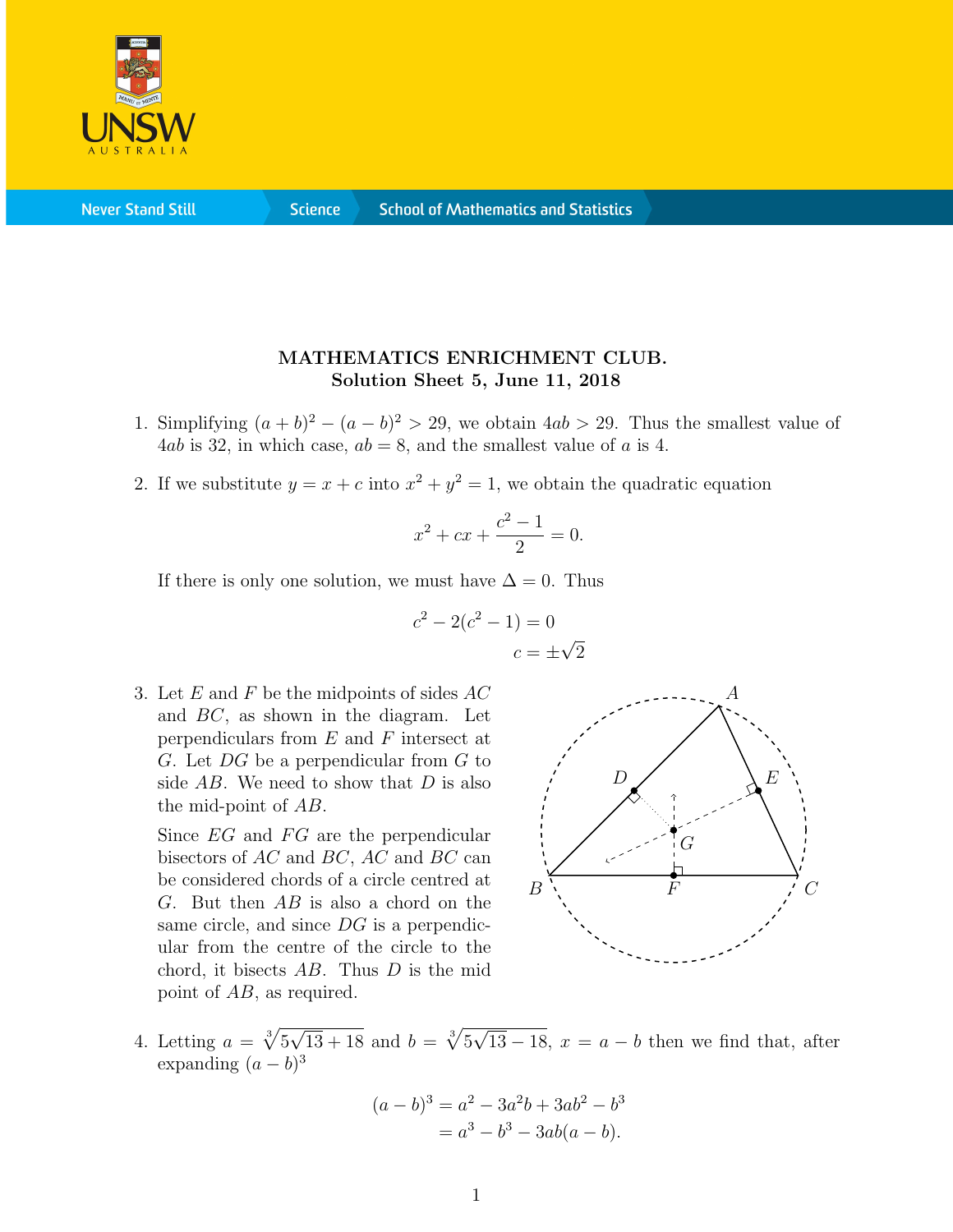

**Never Stand Still** 

**Science** 

## MATHEMATICS ENRICHMENT CLUB. Solution Sheet 5, June 11, 2018

- 1. Simplifying  $(a + b)^2 (a b)^2 > 29$ , we obtain  $4ab > 29$ . Thus the smallest value of 4ab is 32, in which case,  $ab = 8$ , and the smallest value of a is 4.
- 2. If we substitute  $y = x + c$  into  $x^2 + y^2 = 1$ , we obtain the quadratic equation

$$
x^2 + cx + \frac{c^2 - 1}{2} = 0.
$$

If there is only one solution, we must have  $\Delta = 0$ . Thus

$$
c2 - 2(c2 - 1) = 0
$$

$$
c = \pm \sqrt{ }
$$

2

3. Let  $E$  and  $F$  be the midpoints of sides  $AC$ and BC, as shown in the diagram. Let perpendiculars from  $E$  and  $F$  intersect at  $G.$  Let  $DG$  be a perpendicular from  $G$  to side  $AB$ . We need to show that  $D$  is also the mid-point of AB.

Since  $EG$  and  $FG$  are the perpendicular bisectors of AC and BC, AC and BC can be considered chords of a circle centred at  $G.$  But then  $AB$  is also a chord on the same circle, and since DG is a perpendicular from the centre of the circle to the chord, it bisects AB. Thus D is the mid point of AB, as required.



4. Letting  $a = \sqrt[3]{5}$  $<sup>′</sup>$ </sup>  $\overline{13 + 18}$  and  $b = \sqrt[3]{5}$  $<sup>′</sup>$ </sup>  $13-18$ ,  $x = a - b$  then we find that, after expanding  $(a - b)^3$ 

$$
(a - b)3 = a2 - 3a2b + 3ab2 - b3
$$
  
= a<sup>3</sup> - b<sup>3</sup> - 3ab(a - b).